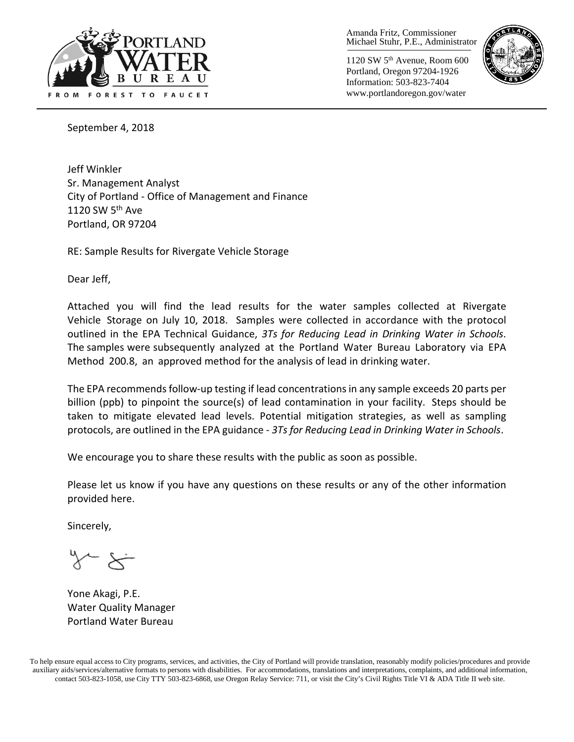

Amanda Fritz, Commissioner Michael Stuhr, P.E., Administrator

1120 SW 5th Avenue, Room 600 Portland, Oregon 97204-1926 Information: 503-823-7404 www.portlandoregon.gov/water



September 4, 2018

Jeff Winkler Sr. Management Analyst City of Portland - Office of Management and Finance 1120 SW 5<sup>th</sup> Ave Portland, OR 97204

RE: Sample Results for Rivergate Vehicle Storage

Dear Jeff,

Attached you will find the lead results for the water samples collected at Rivergate Vehicle Storage on July 10, 2018. Samples were collected in accordance with the protocol outlined in the EPA Technical Guidance, *3Ts for Reducing Lead in Drinking Water in Schools*. The samples were subsequently analyzed at the Portland Water Bureau Laboratory via EPA Method 200.8, an approved method for the analysis of lead in drinking water.

The EPA recommends follow-up testing if lead concentrations in any sample exceeds 20 parts per billion (ppb) to pinpoint the source(s) of lead contamination in your facility. Steps should be taken to mitigate elevated lead levels. Potential mitigation strategies, as well as sampling protocols, are outlined in the EPA guidance - *3Ts for Reducing Lead in Drinking Water in Schools*.

We encourage you to share these results with the public as soon as possible.

Please let us know if you have any questions on these results or any of the other information provided here.

Sincerely,

Yone Akagi, P.E. Water Quality Manager Portland Water Bureau

To help ensure equal access to City programs, services, and activities, the City of Portland will provide translation, reasonably modify policies/procedures and provide auxiliary aids/services/alternative formats to persons with disabilities. For accommodations, translations and interpretations, complaints, and additional information, contact 503-823-1058, use City TTY 503-823-6868, use Oregon Relay Service: 711, or visi[t the City's Civil Rights Title VI & ADA Title II web site.](http://www.portlandoregon.gov/oehr/66458)